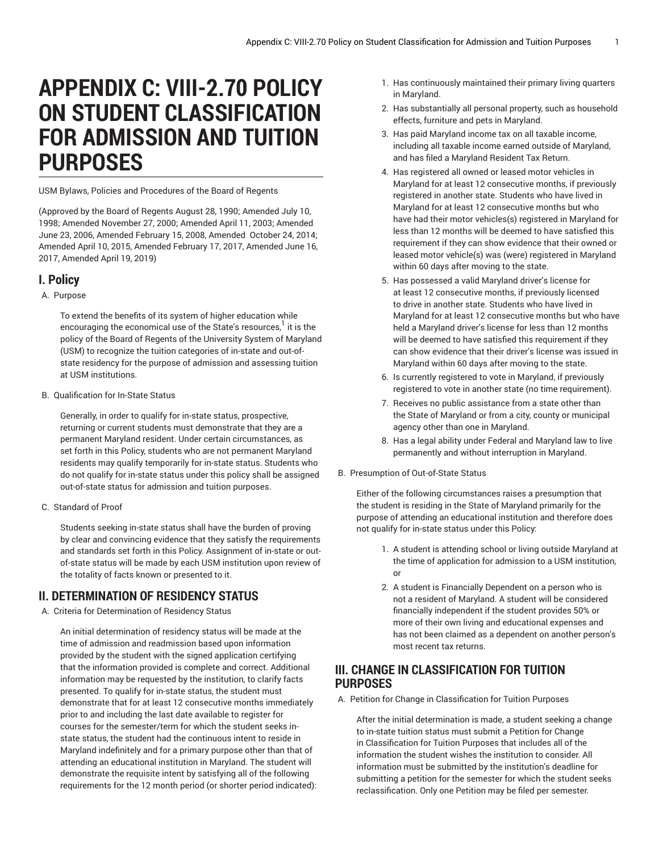# **APPENDIX C: VIII-2.70 POLICY ON STUDENT CLASSIFICATION FOR ADMISSION AND TUITION PURPOSES**

USM Bylaws, Policies and Procedures of the Board of Regents

(Approved by the Board of Regents August 28, 1990; Amended July 10, 1998; Amended November 27, 2000; Amended April 11, 2003; Amended June 23, 2006, Amended February 15, 2008, Amended October 24, 2014; Amended April 10, 2015, Amended February 17, 2017, Amended June 16, 2017, Amended April 19, 2019)

## **I. Policy**

#### A. Purpose

To extend the benefits of its system of higher education while encouraging the economical use of the State's resources,<sup>1</sup> it is the policy of the Board of Regents of the University System of Maryland (USM) to recognize the tuition categories of in-state and out-ofstate residency for the purpose of admission and assessing tuition at USM institutions.

B. Qualification for In-State Status

Generally, in order to qualify for in-state status, prospective, returning or current students must demonstrate that they are a permanent Maryland resident. Under certain circumstances, as set forth in this Policy, students who are not permanent Maryland residents may qualify temporarily for in-state status. Students who do not qualify for in-state status under this policy shall be assigned out-of-state status for admission and tuition purposes.

C. Standard of Proof

Students seeking in-state status shall have the burden of proving by clear and convincing evidence that they satisfy the requirements and standards set forth in this Policy. Assignment of in-state or outof-state status will be made by each USM institution upon review of the totality of facts known or presented to it.

# **II. DETERMINATION OF RESIDENCY STATUS**

A. Criteria for Determination of Residency Status

An initial determination of residency status will be made at the time of admission and readmission based upon information provided by the student with the signed application certifying that the information provided is complete and correct. Additional information may be requested by the institution, to clarify facts presented. To qualify for in-state status, the student must demonstrate that for at least 12 consecutive months immediately prior to and including the last date available to register for courses for the semester/term for which the student seeks instate status, the student had the continuous intent to reside in Maryland indefinitely and for a primary purpose other than that of attending an educational institution in Maryland. The student will demonstrate the requisite intent by satisfying all of the following requirements for the 12 month period (or shorter period indicated):

- 1. Has continuously maintained their primary living quarters in Maryland.
- 2. Has substantially all personal property, such as household effects, furniture and pets in Maryland.
- 3. Has paid Maryland income tax on all taxable income, including all taxable income earned outside of Maryland, and has filed a Maryland Resident Tax Return.
- 4. Has registered all owned or leased motor vehicles in Maryland for at least 12 consecutive months, if previously registered in another state. Students who have lived in Maryland for at least 12 consecutive months but who have had their motor vehicles(s) registered in Maryland for less than 12 months will be deemed to have satisfied this requirement if they can show evidence that their owned or leased motor vehicle(s) was (were) registered in Maryland within 60 days after moving to the state.
- 5. Has possessed a valid Maryland driver's license for at least 12 consecutive months, if previously licensed to drive in another state. Students who have lived in Maryland for at least 12 consecutive months but who have held a Maryland driver's license for less than 12 months will be deemed to have satisfied this requirement if they can show evidence that their driver's license was issued in Maryland within 60 days after moving to the state.
- 6. Is currently registered to vote in Maryland, if previously registered to vote in another state (no time requirement).
- 7. Receives no public assistance from a state other than the State of Maryland or from a city, county or municipal agency other than one in Maryland.
- 8. Has a legal ability under Federal and Maryland law to live permanently and without interruption in Maryland.
- B. Presumption of Out-of-State Status

Either of the following circumstances raises a presumption that the student is residing in the State of Maryland primarily for the purpose of attending an educational institution and therefore does not qualify for in-state status under this Policy:

- 1. A student is attending school or living outside Maryland at the time of application for admission to a USM institution, or
- 2. A student is Financially Dependent on a person who is not a resident of Maryland. A student will be considered financially independent if the student provides 50% or more of their own living and educational expenses and has not been claimed as a dependent on another person's most recent tax returns.

# **III. CHANGE IN CLASSIFICATION FOR TUITION PURPOSES**

A. Petition for Change in Classification for Tuition Purposes

After the initial determination is made, a student seeking a change to in-state tuition status must submit a Petition for Change in Classification for Tuition Purposes that includes all of the information the student wishes the institution to consider. All information must be submitted by the institution's deadline for submitting a petition for the semester for which the student seeks reclassification. Only one Petition may be filed per semester.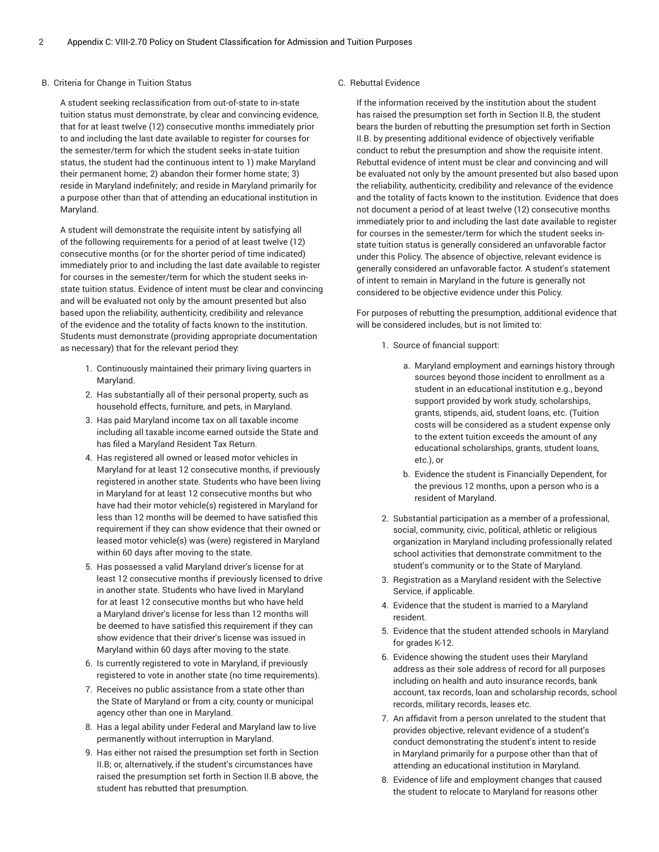#### B. Criteria for Change in Tuition Status

A student seeking reclassification from out-of-state to in-state tuition status must demonstrate, by clear and convincing evidence, that for at least twelve (12) consecutive months immediately prior to and including the last date available to register for courses for the semester/term for which the student seeks in-state tuition status, the student had the continuous intent to 1) make Maryland their permanent home; 2) abandon their former home state; 3) reside in Maryland indefinitely; and reside in Maryland primarily for a purpose other than that of attending an educational institution in Maryland.

A student will demonstrate the requisite intent by satisfying all of the following requirements for a period of at least twelve (12) consecutive months (or for the shorter period of time indicated) immediately prior to and including the last date available to register for courses in the semester/term for which the student seeks instate tuition status. Evidence of intent must be clear and convincing and will be evaluated not only by the amount presented but also based upon the reliability, authenticity, credibility and relevance of the evidence and the totality of facts known to the institution. Students must demonstrate (providing appropriate documentation as necessary) that for the relevant period they:

- 1. Continuously maintained their primary living quarters in Maryland.
- 2. Has substantially all of their personal property, such as household effects, furniture, and pets, in Maryland.
- 3. Has paid Maryland income tax on all taxable income including all taxable income earned outside the State and has filed a Maryland Resident Tax Return.
- 4. Has registered all owned or leased motor vehicles in Maryland for at least 12 consecutive months, if previously registered in another state. Students who have been living in Maryland for at least 12 consecutive months but who have had their motor vehicle(s) registered in Maryland for less than 12 months will be deemed to have satisfied this requirement if they can show evidence that their owned or leased motor vehicle(s) was (were) registered in Maryland within 60 days after moving to the state.
- 5. Has possessed a valid Maryland driver's license for at least 12 consecutive months if previously licensed to drive in another state. Students who have lived in Maryland for at least 12 consecutive months but who have held a Maryland driver's license for less than 12 months will be deemed to have satisfied this requirement if they can show evidence that their driver's license was issued in Maryland within 60 days after moving to the state.
- 6. Is currently registered to vote in Maryland, if previously registered to vote in another state (no time requirements).
- 7. Receives no public assistance from a state other than the State of Maryland or from a city, county or municipal agency other than one in Maryland.
- 8. Has a legal ability under Federal and Maryland law to live permanently without interruption in Maryland.
- 9. Has either not raised the presumption set forth in Section II.B; or, alternatively, if the student's circumstances have raised the presumption set forth in Section II.B above, the student has rebutted that presumption.

#### C. Rebuttal Evidence

If the information received by the institution about the student has raised the presumption set forth in Section II.B, the student bears the burden of rebutting the presumption set forth in Section II.B. by presenting additional evidence of objectively verifiable conduct to rebut the presumption and show the requisite intent. Rebuttal evidence of intent must be clear and convincing and will be evaluated not only by the amount presented but also based upon the reliability, authenticity, credibility and relevance of the evidence and the totality of facts known to the institution. Evidence that does not document a period of at least twelve (12) consecutive months immediately prior to and including the last date available to register for courses in the semester/term for which the student seeks instate tuition status is generally considered an unfavorable factor under this Policy. The absence of objective, relevant evidence is generally considered an unfavorable factor. A student's statement of intent to remain in Maryland in the future is generally not considered to be objective evidence under this Policy.

For purposes of rebutting the presumption, additional evidence that will be considered includes, but is not limited to:

- 1. Source of financial support:
	- a. Maryland employment and earnings history through sources beyond those incident to enrollment as a student in an educational institution e.g., beyond support provided by work study, scholarships, grants, stipends, aid, student loans, etc. (Tuition costs will be considered as a student expense only to the extent tuition exceeds the amount of any educational scholarships, grants, student loans, etc.), or
	- b. Evidence the student is Financially Dependent, for the previous 12 months, upon a person who is a resident of Maryland.
- 2. Substantial participation as a member of a professional, social, community, civic, political, athletic or religious organization in Maryland including professionally related school activities that demonstrate commitment to the student's community or to the State of Maryland.
- 3. Registration as a Maryland resident with the Selective Service, if applicable.
- 4. Evidence that the student is married to a Maryland resident.
- 5. Evidence that the student attended schools in Maryland for grades K-12.
- 6. Evidence showing the student uses their Maryland address as their sole address of record for all purposes including on health and auto insurance records, bank account, tax records, loan and scholarship records, school records, military records, leases etc.
- 7. An affidavit from a person unrelated to the student that provides objective, relevant evidence of a student's conduct demonstrating the student's intent to reside in Maryland primarily for a purpose other than that of attending an educational institution in Maryland.
- 8. Evidence of life and employment changes that caused the student to relocate to Maryland for reasons other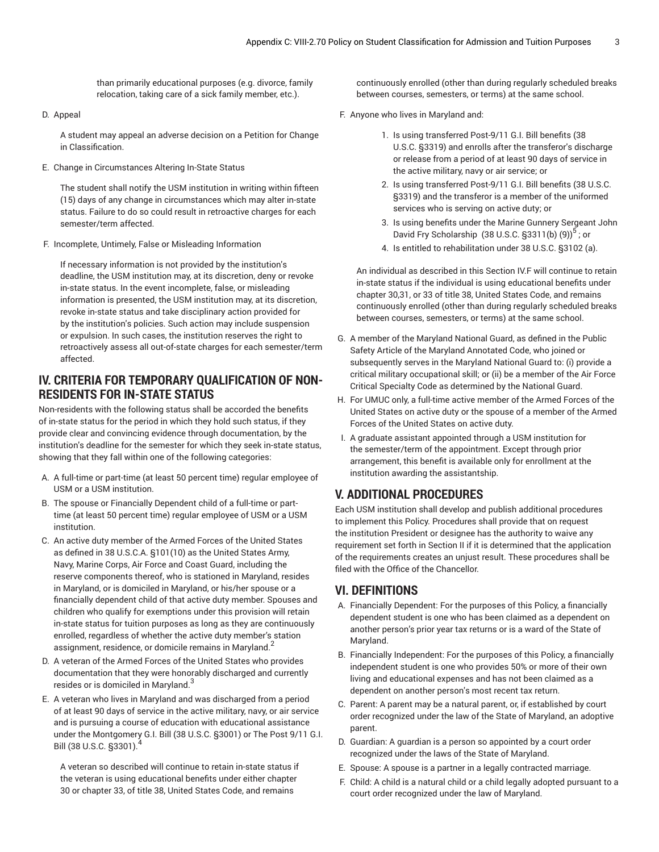than primarily educational purposes (e.g. divorce, family relocation, taking care of a sick family member, etc.).

D. Appeal

A student may appeal an adverse decision on a Petition for Change in Classification.

E. Change in Circumstances Altering In-State Status

The student shall notify the USM institution in writing within fifteen (15) days of any change in circumstances which may alter in-state status. Failure to do so could result in retroactive charges for each semester/term affected.

F. Incomplete, Untimely, False or Misleading Information

If necessary information is not provided by the institution's deadline, the USM institution may, at its discretion, deny or revoke in-state status. In the event incomplete, false, or misleading information is presented, the USM institution may, at its discretion, revoke in-state status and take disciplinary action provided for by the institution's policies. Such action may include suspension or expulsion. In such cases, the institution reserves the right to retroactively assess all out-of-state charges for each semester/term affected.

## **IV. CRITERIA FOR TEMPORARY QUALIFICATION OF NON-RESIDENTS FOR IN-STATE STATUS**

Non-residents with the following status shall be accorded the benefits of in-state status for the period in which they hold such status, if they provide clear and convincing evidence through documentation, by the institution's deadline for the semester for which they seek in-state status, showing that they fall within one of the following categories:

- A. A full-time or part-time (at least 50 percent time) regular employee of USM or a USM institution.
- B. The spouse or Financially Dependent child of a full-time or parttime (at least 50 percent time) regular employee of USM or a USM institution.
- C. An active duty member of the Armed Forces of the United States as defined in 38 U.S.C.A. §101(10) as the United States Army, Navy, Marine Corps, Air Force and Coast Guard, including the reserve components thereof, who is stationed in Maryland, resides in Maryland, or is domiciled in Maryland, or his/her spouse or a financially dependent child of that active duty member. Spouses and children who qualify for exemptions under this provision will retain in-state status for tuition purposes as long as they are continuously enrolled, regardless of whether the active duty member's station assignment, residence, or domicile remains in Maryland.<sup>2</sup>
- D. A veteran of the Armed Forces of the United States who provides documentation that they were honorably discharged and currently resides or is domiciled in Maryland. $^3$
- E. A veteran who lives in Maryland and was discharged from a period of at least 90 days of service in the active military, navy, or air service and is pursuing a course of education with educational assistance under the Montgomery G.I. Bill (38 U.S.C. §3001) or The Post 9/11 G.I. Bill (38 U.S.C. §3301).

A veteran so described will continue to retain in-state status if the veteran is using educational benefits under either chapter 30 or chapter 33, of title 38, United States Code, and remains

continuously enrolled (other than during regularly scheduled breaks between courses, semesters, or terms) at the same school.

- F. Anyone who lives in Maryland and:
	- 1. Is using transferred Post-9/11 G.I. Bill benefits (38 U.S.C. §3319) and enrolls after the transferor's discharge or release from a period of at least 90 days of service in the active military, navy or air service; or
	- 2. Is using transferred Post-9/11 G.I. Bill benefits (38 U.S.C. §3319) and the transferor is a member of the uniformed services who is serving on active duty; or
	- 3. Is using benefits under the Marine Gunnery Sergeant John David Fry Scholarship (38 U.S.C. §3311(b) (9)) $^5$ ; or
	- 4. Is entitled to rehabilitation under 38 U.S.C. §3102 (a).

An individual as described in this Section IV.F will continue to retain in-state status if the individual is using educational benefits under chapter 30,31, or 33 of title 38, United States Code, and remains continuously enrolled (other than during regularly scheduled breaks between courses, semesters, or terms) at the same school.

- G. A member of the Maryland National Guard, as defined in the Public Safety Article of the Maryland Annotated Code, who joined or subsequently serves in the Maryland National Guard to: (i) provide a critical military occupational skill; or (ii) be a member of the Air Force Critical Specialty Code as determined by the National Guard.
- H. For UMUC only, a full-time active member of the Armed Forces of the United States on active duty or the spouse of a member of the Armed Forces of the United States on active duty.
- I. A graduate assistant appointed through a USM institution for the semester/term of the appointment. Except through prior arrangement, this benefit is available only for enrollment at the institution awarding the assistantship.

# **V. ADDITIONAL PROCEDURES**

Each USM institution shall develop and publish additional procedures to implement this Policy. Procedures shall provide that on request the institution President or designee has the authority to waive any requirement set forth in Section II if it is determined that the application of the requirements creates an unjust result. These procedures shall be filed with the Office of the Chancellor.

## **VI. DEFINITIONS**

- A. Financially Dependent: For the purposes of this Policy, a financially dependent student is one who has been claimed as a dependent on another person's prior year tax returns or is a ward of the State of Maryland.
- B. Financially Independent: For the purposes of this Policy, a financially independent student is one who provides 50% or more of their own living and educational expenses and has not been claimed as a dependent on another person's most recent tax return.
- C. Parent: A parent may be a natural parent, or, if established by court order recognized under the law of the State of Maryland, an adoptive parent.
- D. Guardian: A guardian is a person so appointed by a court order recognized under the laws of the State of Maryland.
- E. Spouse: A spouse is a partner in a legally contracted marriage.
- F. Child: A child is a natural child or a child legally adopted pursuant to a court order recognized under the law of Maryland.